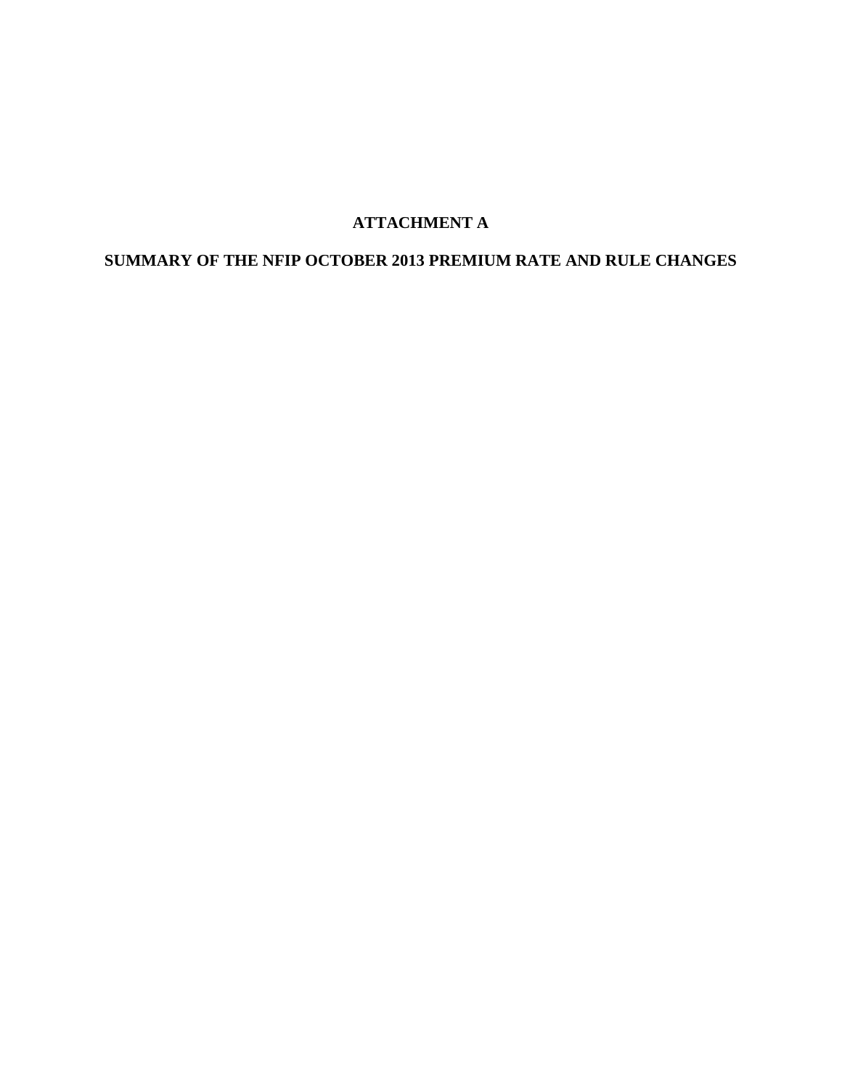# **ATTACHMENT A**

# **SUMMARY OF THE NFIP OCTOBER 2013 PREMIUM RATE AND RULE CHANGES**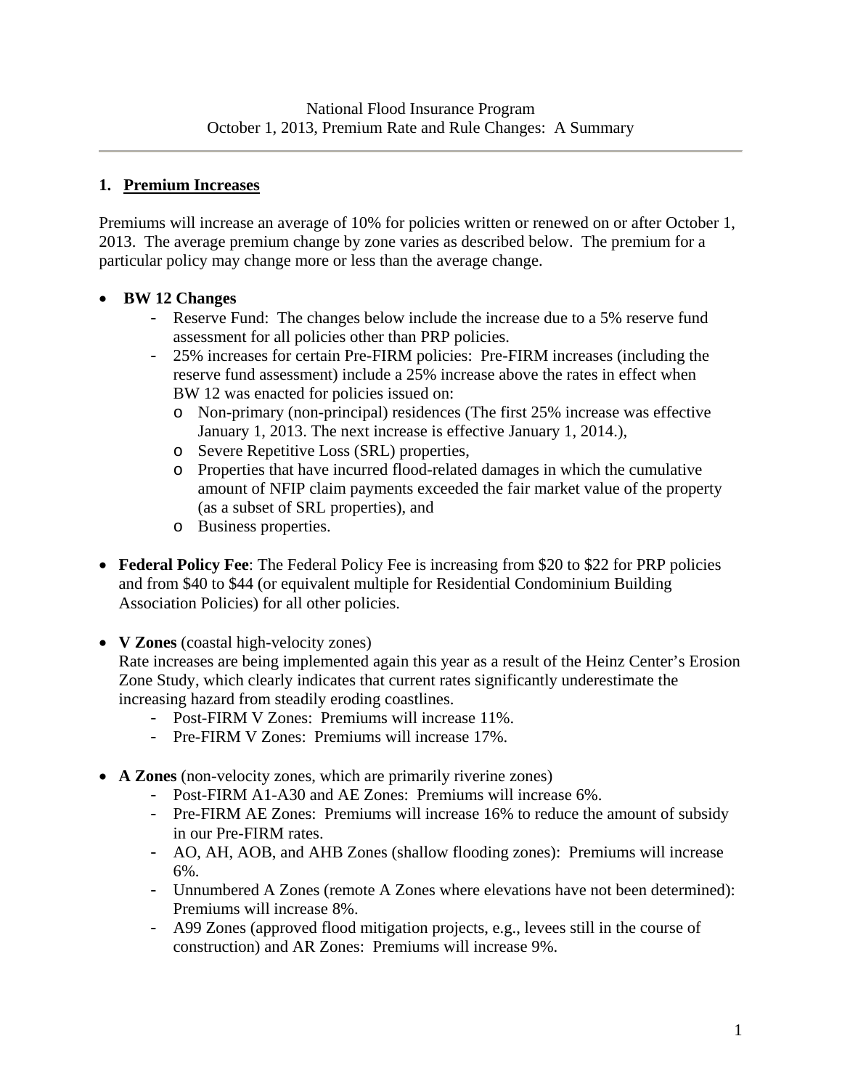#### **1. Premium Increases**

Premiums will increase an average of 10% for policies written or renewed on or after October 1, 2013. The average premium change by zone varies as described below. The premium for a particular policy may change more or less than the average change.

#### **BW 12 Changes**

- Reserve Fund: The changes below include the increase due to a 5% reserve fund assessment for all policies other than PRP policies.
- 25% increases for certain Pre-FIRM policies: Pre-FIRM increases (including the reserve fund assessment) include a 25% increase above the rates in effect when BW 12 was enacted for policies issued on:
	- o Non-primary (non-principal) residences (The first 25% increase was effective January 1, 2013. The next increase is effective January 1, 2014.),
	- o Severe Repetitive Loss (SRL) properties,
	- o Properties that have incurred flood-related damages in which the cumulative amount of NFIP claim payments exceeded the fair market value of the property (as a subset of SRL properties), and
	- o Business properties.
- **Federal Policy Fee**: The Federal Policy Fee is increasing from \$20 to \$22 for PRP policies and from \$40 to \$44 (or equivalent multiple for Residential Condominium Building Association Policies) for all other policies.
- **V Zones** (coastal high-velocity zones)

Rate increases are being implemented again this year as a result of the Heinz Center's Erosion Zone Study, which clearly indicates that current rates significantly underestimate the increasing hazard from steadily eroding coastlines.

- Post-FIRM V Zones: Premiums will increase 11%.
- Pre-FIRM V Zones: Premiums will increase 17%.
- **A Zones** (non-velocity zones, which are primarily riverine zones)
	- Post-FIRM A1-A30 and AE Zones: Premiums will increase 6%.
	- Pre-FIRM AE Zones: Premiums will increase 16% to reduce the amount of subsidy in our Pre-FIRM rates.
	- AO, AH, AOB, and AHB Zones (shallow flooding zones): Premiums will increase 6%.
	- Unnumbered A Zones (remote A Zones where elevations have not been determined): Premiums will increase 8%.
	- A99 Zones (approved flood mitigation projects, e.g., levees still in the course of construction) and AR Zones: Premiums will increase 9%.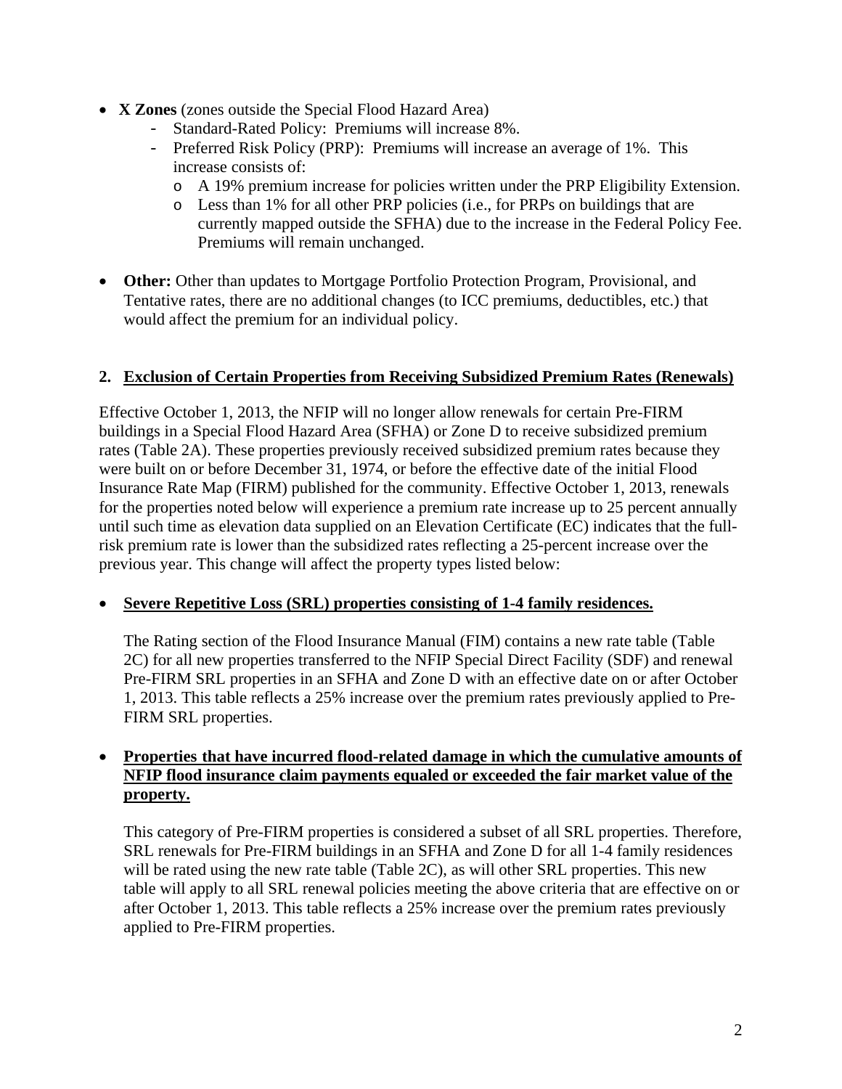- **X Zones** (zones outside the Special Flood Hazard Area)
	- Standard-Rated Policy: Premiums will increase 8%.
	- Preferred Risk Policy (PRP): Premiums will increase an average of 1%. This increase consists of:
		- o A 19% premium increase for policies written under the PRP Eligibility Extension.
		- o Less than 1% for all other PRP policies (i.e., for PRPs on buildings that are currently mapped outside the SFHA) due to the increase in the Federal Policy Fee. Premiums will remain unchanged.
- Other: Other than updates to Mortgage Portfolio Protection Program, Provisional, and Tentative rates, there are no additional changes (to ICC premiums, deductibles, etc.) that would affect the premium for an individual policy.

#### **2. Exclusion of Certain Properties from Receiving Subsidized Premium Rates (Renewals)**

Effective October 1, 2013, the NFIP will no longer allow renewals for certain Pre-FIRM buildings in a Special Flood Hazard Area (SFHA) or Zone D to receive subsidized premium rates (Table 2A). These properties previously received subsidized premium rates because they were built on or before December 31, 1974, or before the effective date of the initial Flood Insurance Rate Map (FIRM) published for the community. Effective October 1, 2013, renewals for the properties noted below will experience a premium rate increase up to 25 percent annually until such time as elevation data supplied on an Elevation Certificate (EC) indicates that the fullrisk premium rate is lower than the subsidized rates reflecting a 25-percent increase over the previous year. This change will affect the property types listed below:

#### **Severe Repetitive Loss (SRL) properties consisting of 1-4 family residences.**

The Rating section of the Flood Insurance Manual (FIM) contains a new rate table (Table 2C) for all new properties transferred to the NFIP Special Direct Facility (SDF) and renewal Pre-FIRM SRL properties in an SFHA and Zone D with an effective date on or after October 1, 2013. This table reflects a 25% increase over the premium rates previously applied to Pre-FIRM SRL properties.

#### **Properties that have incurred flood-related damage in which the cumulative amounts of NFIP flood insurance claim payments equaled or exceeded the fair market value of the property.**

This category of Pre-FIRM properties is considered a subset of all SRL properties. Therefore, SRL renewals for Pre-FIRM buildings in an SFHA and Zone D for all 1-4 family residences will be rated using the new rate table (Table 2C), as will other SRL properties. This new table will apply to all SRL renewal policies meeting the above criteria that are effective on or after October 1, 2013. This table reflects a 25% increase over the premium rates previously applied to Pre-FIRM properties.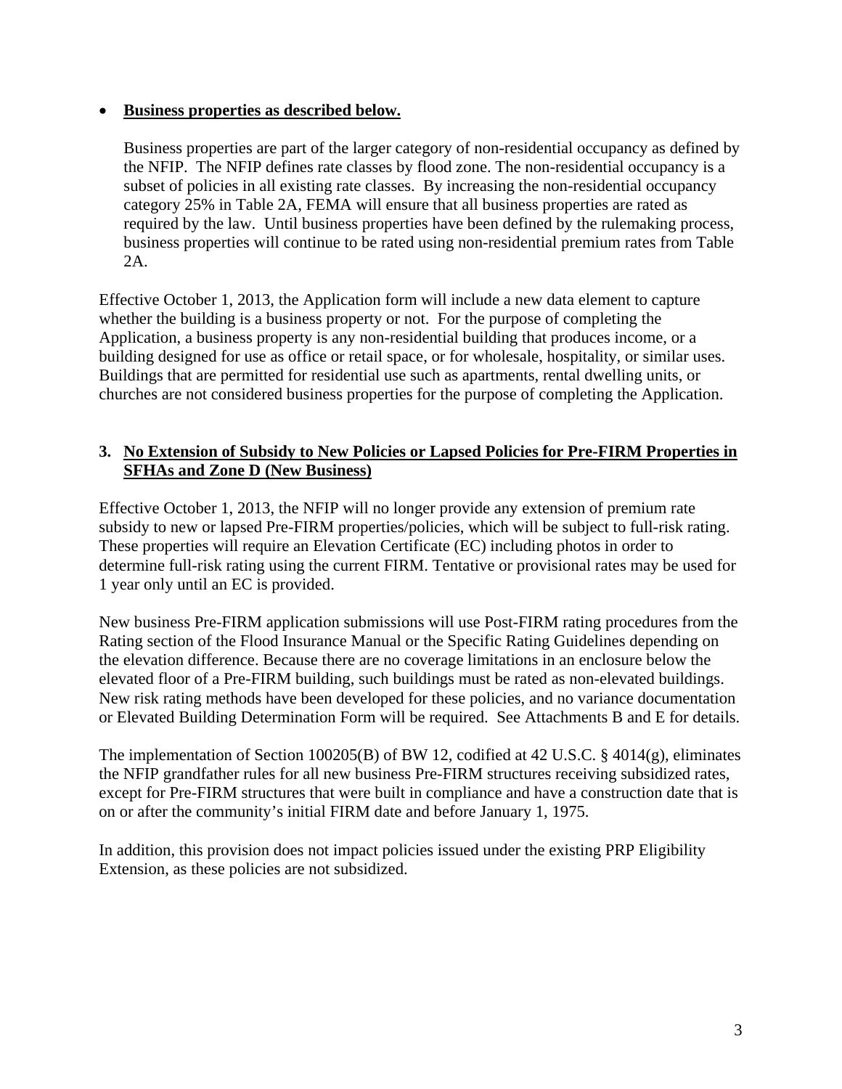#### **Business properties as described below.**

Business properties are part of the larger category of non-residential occupancy as defined by the NFIP. The NFIP defines rate classes by flood zone. The non-residential occupancy is a subset of policies in all existing rate classes. By increasing the non-residential occupancy category 25% in Table 2A, FEMA will ensure that all business properties are rated as required by the law. Until business properties have been defined by the rulemaking process, business properties will continue to be rated using non-residential premium rates from Table 2A.

Effective October 1, 2013, the Application form will include a new data element to capture whether the building is a business property or not. For the purpose of completing the Application, a business property is any non-residential building that produces income, or a building designed for use as office or retail space, or for wholesale, hospitality, or similar uses. Buildings that are permitted for residential use such as apartments, rental dwelling units, or churches are not considered business properties for the purpose of completing the Application.

#### **3. No Extension of Subsidy to New Policies or Lapsed Policies for Pre-FIRM Properties in SFHAs and Zone D (New Business)**

Effective October 1, 2013, the NFIP will no longer provide any extension of premium rate subsidy to new or lapsed Pre-FIRM properties/policies, which will be subject to full-risk rating. These properties will require an Elevation Certificate (EC) including photos in order to determine full-risk rating using the current FIRM. Tentative or provisional rates may be used for 1 year only until an EC is provided.

New business Pre-FIRM application submissions will use Post-FIRM rating procedures from the Rating section of the Flood Insurance Manual or the Specific Rating Guidelines depending on the elevation difference. Because there are no coverage limitations in an enclosure below the elevated floor of a Pre-FIRM building, such buildings must be rated as non-elevated buildings. New risk rating methods have been developed for these policies, and no variance documentation or Elevated Building Determination Form will be required. See Attachments B and E for details.

The implementation of Section 100205(B) of BW 12, codified at 42 U.S.C. § 4014(g), eliminates the NFIP grandfather rules for all new business Pre-FIRM structures receiving subsidized rates, except for Pre-FIRM structures that were built in compliance and have a construction date that is on or after the community's initial FIRM date and before January 1, 1975.

In addition, this provision does not impact policies issued under the existing PRP Eligibility Extension, as these policies are not subsidized.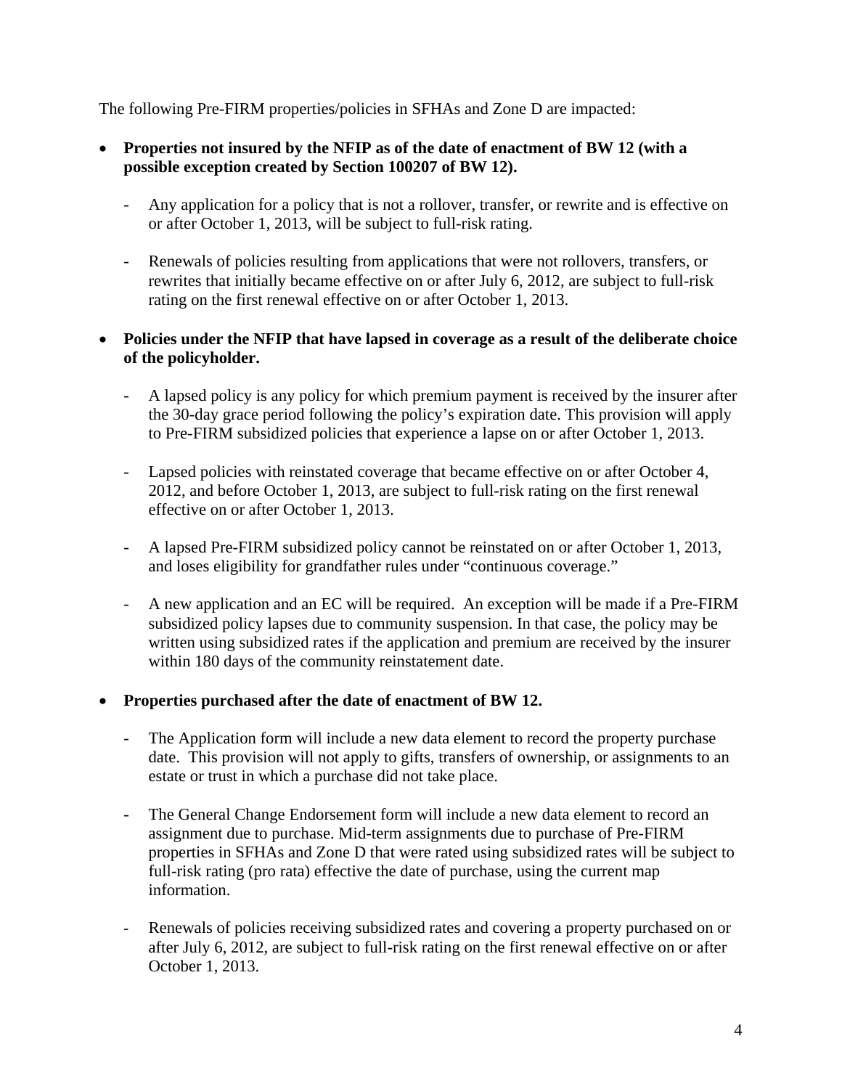The following Pre-FIRM properties/policies in SFHAs and Zone D are impacted:

- **Properties not insured by the NFIP as of the date of enactment of BW 12 (with a possible exception created by Section 100207 of BW 12).** 
	- Any application for a policy that is not a rollover, transfer, or rewrite and is effective on or after October 1, 2013, will be subject to full-risk rating.
	- Renewals of policies resulting from applications that were not rollovers, transfers, or rewrites that initially became effective on or after July 6, 2012, are subject to full-risk rating on the first renewal effective on or after October 1, 2013.

#### **Policies under the NFIP that have lapsed in coverage as a result of the deliberate choice of the policyholder.**

- A lapsed policy is any policy for which premium payment is received by the insurer after the 30-day grace period following the policy's expiration date. This provision will apply to Pre-FIRM subsidized policies that experience a lapse on or after October 1, 2013.
- Lapsed policies with reinstated coverage that became effective on or after October 4, 2012, and before October 1, 2013, are subject to full-risk rating on the first renewal effective on or after October 1, 2013.
- A lapsed Pre-FIRM subsidized policy cannot be reinstated on or after October 1, 2013, and loses eligibility for grandfather rules under "continuous coverage."
- A new application and an EC will be required. An exception will be made if a Pre-FIRM subsidized policy lapses due to community suspension. In that case, the policy may be written using subsidized rates if the application and premium are received by the insurer within 180 days of the community reinstatement date.

## **Properties purchased after the date of enactment of BW 12.**

- The Application form will include a new data element to record the property purchase date. This provision will not apply to gifts, transfers of ownership, or assignments to an estate or trust in which a purchase did not take place.
- The General Change Endorsement form will include a new data element to record an assignment due to purchase. Mid-term assignments due to purchase of Pre-FIRM properties in SFHAs and Zone D that were rated using subsidized rates will be subject to full-risk rating (pro rata) effective the date of purchase, using the current map information.
- Renewals of policies receiving subsidized rates and covering a property purchased on or after July 6, 2012, are subject to full-risk rating on the first renewal effective on or after October 1, 2013.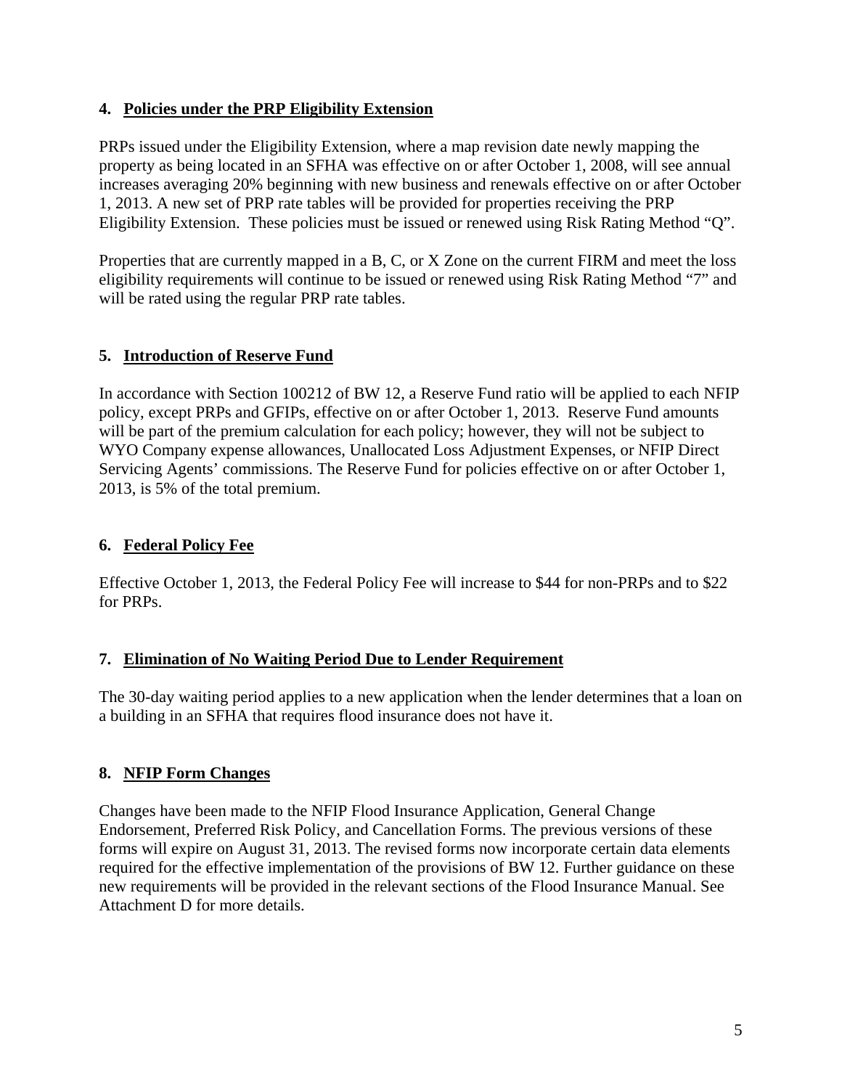#### **4. Policies under the PRP Eligibility Extension**

PRPs issued under the Eligibility Extension, where a map revision date newly mapping the property as being located in an SFHA was effective on or after October 1, 2008, will see annual increases averaging 20% beginning with new business and renewals effective on or after October 1, 2013. A new set of PRP rate tables will be provided for properties receiving the PRP Eligibility Extension. These policies must be issued or renewed using Risk Rating Method "Q".

Properties that are currently mapped in a B, C, or X Zone on the current FIRM and meet the loss eligibility requirements will continue to be issued or renewed using Risk Rating Method "7" and will be rated using the regular PRP rate tables.

## **5. Introduction of Reserve Fund**

In accordance with Section 100212 of BW 12, a Reserve Fund ratio will be applied to each NFIP policy, except PRPs and GFIPs, effective on or after October 1, 2013. Reserve Fund amounts will be part of the premium calculation for each policy; however, they will not be subject to WYO Company expense allowances, Unallocated Loss Adjustment Expenses, or NFIP Direct Servicing Agents' commissions. The Reserve Fund for policies effective on or after October 1, 2013, is 5% of the total premium.

# **6. Federal Policy Fee**

Effective October 1, 2013, the Federal Policy Fee will increase to \$44 for non-PRPs and to \$22 for PRPs.

## **7. Elimination of No Waiting Period Due to Lender Requirement**

The 30-day waiting period applies to a new application when the lender determines that a loan on a building in an SFHA that requires flood insurance does not have it.

## **8. NFIP Form Changes**

Changes have been made to the NFIP Flood Insurance Application, General Change Endorsement, Preferred Risk Policy, and Cancellation Forms. The previous versions of these forms will expire on August 31, 2013. The revised forms now incorporate certain data elements required for the effective implementation of the provisions of BW 12. Further guidance on these new requirements will be provided in the relevant sections of the Flood Insurance Manual. See Attachment D for more details.